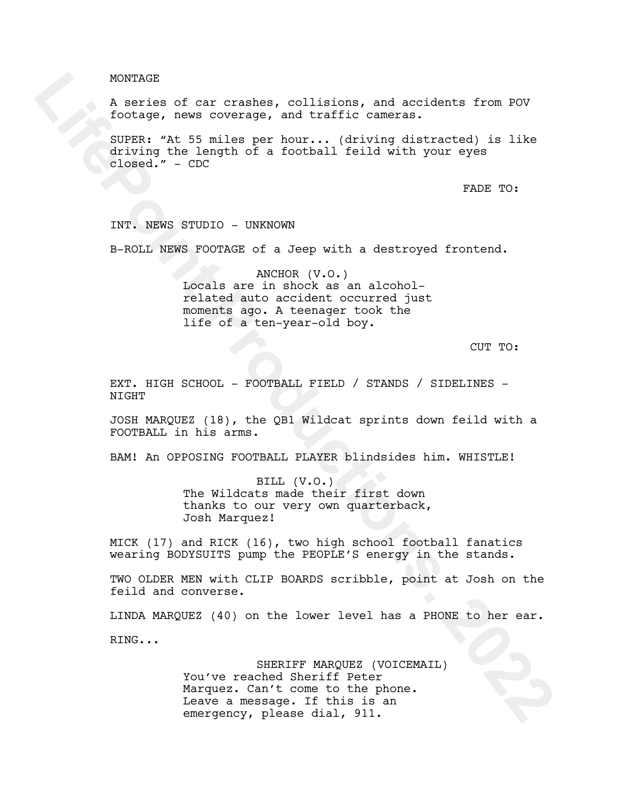## MONTAGE

A series of car crashes, collisions, and accidents from POV footage, news coverage, and traffic cameras.

SUPER: "At 55 miles per hour... (driving distracted) is like driving the length of a football feild with your eyes closed." - CDC

FADE TO:

INT. NEWS STUDIO - UNKNOWN

B-ROLL NEWS FOOTAGE of a Jeep with a destroyed frontend.

ANCHOR (V.O.) Locals are in shock as an alcoholrelated auto accident occurred just moments ago. A teenager took the life of a ten-year-old boy.

CUT TO:

EXT. HIGH SCHOOL - FOOTBALL FIELD / STANDS / SIDELINES - **NTGHT** 

JOSH MARQUEZ (18), the QB1 Wildcat sprints down feild with a FOOTBALL in his arms.

BAM! An OPPOSING FOOTBALL PLAYER blindsides him. WHISTLE!

BILL (V.O.) The Wildcats made their first down thanks to our very own quarterback, Josh Marquez!

MICK (17) and RICK (16), two high school football fanatics wearing BODYSUITS pump the PEOPLE'S energy in the stands.

TWO OLDER MEN with CLIP BOARDS scribble, point at Josh on the feild and converse.

LINDA MARQUEZ (40) on the lower level has a PHONE to her ear.

RING...

SHERIFF MARQUEZ (VOICEMAIL) You've reached Sheriff Peter Marquez. Can't come to the phone. Leave a message. If this is an emergency, please dial, 911.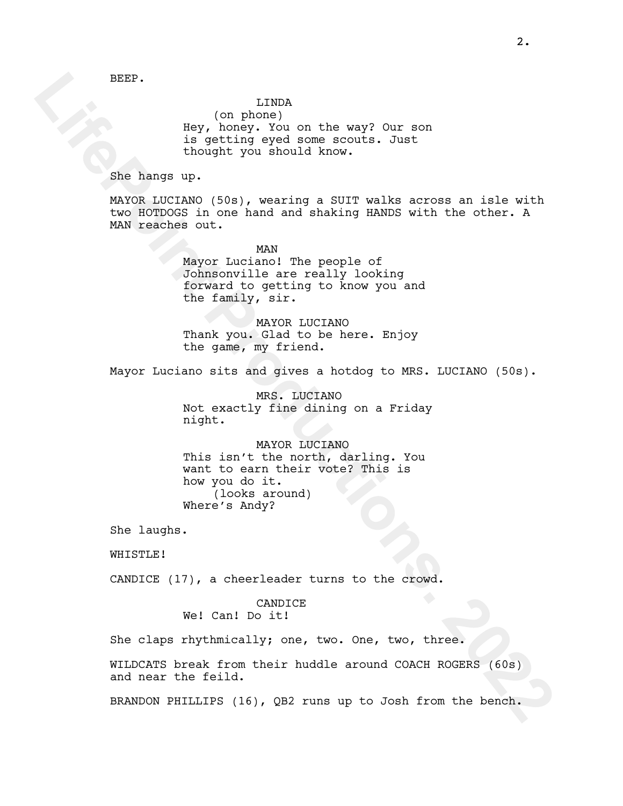BEEP.

### LINDA

(on phone) Hey, honey. You on the way? Our son is getting eyed some scouts. Just thought you should know.

She hangs up.

MAYOR LUCIANO (50s), wearing a SUIT walks across an isle with two HOTDOGS in one hand and shaking HANDS with the other. A MAN reaches out.

> MAN Mayor Luciano! The people of Johnsonville are really looking forward to getting to know you and the family, sir.

MAYOR LUCIANO Thank you. Glad to be here. Enjoy the game, my friend.

Mayor Luciano sits and gives a hotdog to MRS. LUCIANO (50s).

MRS. LUCIANO Not exactly fine dining on a Friday night.

MAYOR LUCIANO This isn't the north, darling. You want to earn their vote? This is how you do it. (looks around) Where's Andy?

She laughs.

WHISTLE!

CANDICE (17), a cheerleader turns to the crowd.

CANDICE We! Can! Do it!

She claps rhythmically; one, two. One, two, three.

WILDCATS break from their huddle around COACH ROGERS (60s) and near the feild.

BRANDON PHILLIPS (16), QB2 runs up to Josh from the bench.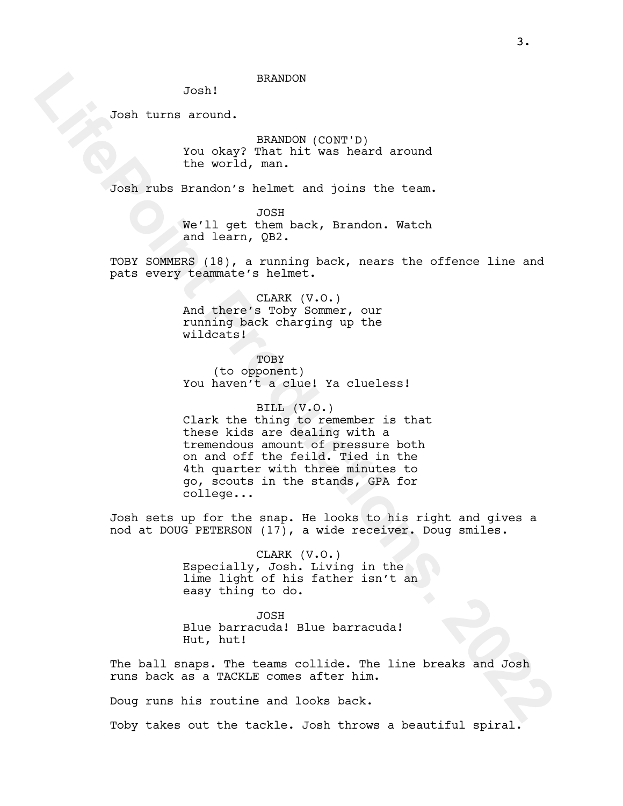## BRANDON

Josh!

Josh turns around.

BRANDON (CONT'D) You okay? That hit was heard around the world, man.

Josh rubs Brandon's helmet and joins the team.

JOSH We'll get them back, Brandon. Watch and learn, QB2.

TOBY SOMMERS (18), a running back, nears the offence line and pats every teammate's helmet.

> CLARK (V.O.) And there's Toby Sommer, our running back charging up the wildcats!

TOBY (to opponent) You haven't a clue! Ya clueless!

BILL (V.O.) Clark the thing to remember is that these kids are dealing with a tremendous amount of pressure both on and off the feild. Tied in the 4th quarter with three minutes to go, scouts in the stands, GPA for college...

Josh sets up for the snap. He looks to his right and gives a nod at DOUG PETERSON (17), a wide receiver. Doug smiles.

> CLARK (V.O.) Especially, Josh. Living in the lime light of his father isn't an easy thing to do.

JOSH Blue barracuda! Blue barracuda! Hut, hut!

The ball snaps. The teams collide. The line breaks and Josh runs back as a TACKLE comes after him.

Doug runs his routine and looks back.

Toby takes out the tackle. Josh throws a beautiful spiral.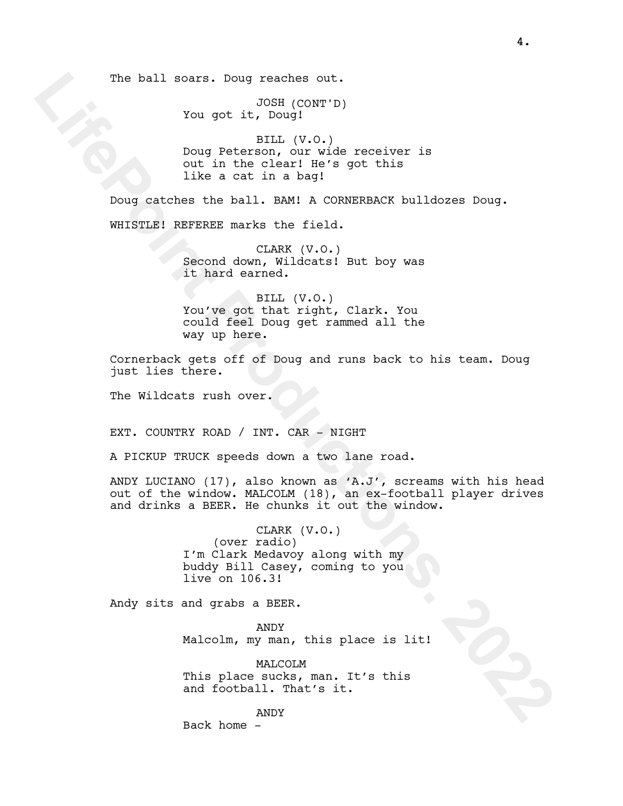The ball soars. Doug reaches out.

JOSH (CONT'D) You got it, Doug!

BILL (V.O.) Doug Peterson, our wide receiver is out in the clear! He's got this like a cat in a bag!

Doug catches the ball. BAM! A CORNERBACK bulldozes Doug. WHISTLE! REFEREE marks the field.

> CLARK (V.O.) Second down, Wildcats! But boy was it hard earned.

BILL (V.O.) You've got that right, Clark. You could feel Doug get rammed all the way up here.

Cornerback gets off of Doug and runs back to his team. Doug just lies there.

The Wildcats rush over.

EXT. COUNTRY ROAD / INT. CAR – NIGHT

A PICKUP TRUCK speeds down a two lane road.

ANDY LUCIANO (17), also known as 'A.J', screams with his head out of the window. MALCOLM (18), an ex-football player drives and drinks a BEER. He chunks it out the window.

> CLARK (V.O.) (over radio) I'm Clark Medavoy along with my buddy Bill Casey, coming to you live on 106.3!

Andy sits and grabs a BEER.

ANDY Malcolm, my man, this place is lit!

MALCOLM This place sucks, man. It's this and football. That's it.

ANDY Back home -